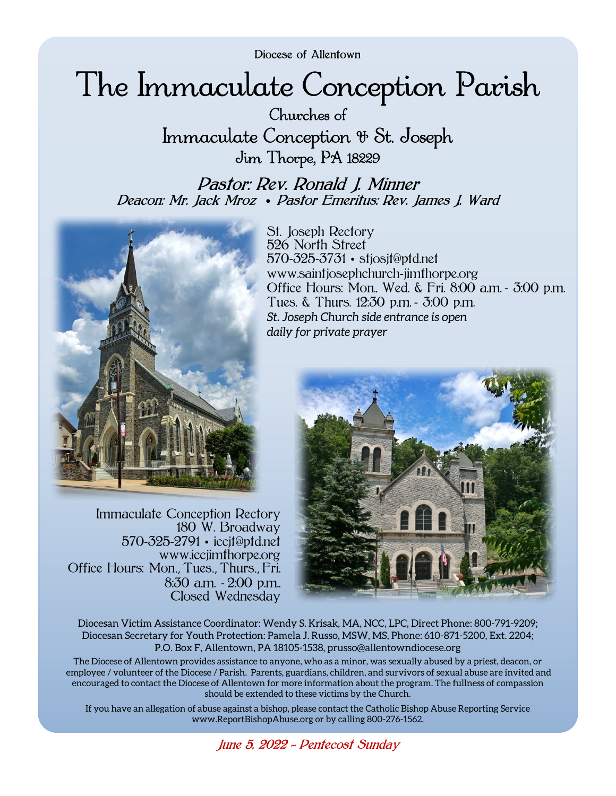Diocese of Allentown

# The Immaculate Conception Parish

Churches of Immaculate Conception & St. Joseph Jim Thorpe, PA 18229

Pastor: Rev. Ronald J. Minner Deacon: Mr. Jack Mroz • Pastor Emeritus: Rev. James J. Ward



Immaculate Conception Rectory 180 W. Broadway 570-325-2791 • iccjt@ptd.net www.iccjimthorpe.org Office Hours: Mon., Tues., Thurs., Fri, 8:30 a.m. - 2:00 p.m., Closed Wednesday

St. Joseph Rectory 526 North Street 570-325-3731 • stjosjt@ptd.net www.saintjosephchurch-jimthorpe.org Office Hours: Mon., Wed. & Fri. 8:00 a.m. - 3:00 p.m. Tues. & Thurs. 12:30 p.m. - 3:00 p.m. *St. Joseph Church side entrance is open daily for private prayer* 



Diocesan Victim Assistance Coordinator: Wendy S. Krisak, MA, NCC, LPC, Direct Phone: 800-791-9209; Diocesan Secretary for Youth Protection: Pamela J. Russo, MSW, MS, Phone: 610-871-5200, Ext. 2204; P.O. Box F, Allentown, PA 18105-1538, prusso@allentowndiocese.org

The Diocese of Allentown provides assistance to anyone, who as a minor, was sexually abused by a priest, deacon, or employee / volunteer of the Diocese / Parish. Parents, guardians, children, and survivors of sexual abuse are invited and encouraged to contact the Diocese of Allentown for more information about the program. The fullness of compassion should be extended to these victims by the Church.

If you have an allegation of abuse against a bishop, please contact the Catholic Bishop Abuse Reporting Service www.ReportBishopAbuse.org or by calling 800-276-1562.

June 5, 2022 *~* Pentecost Sunday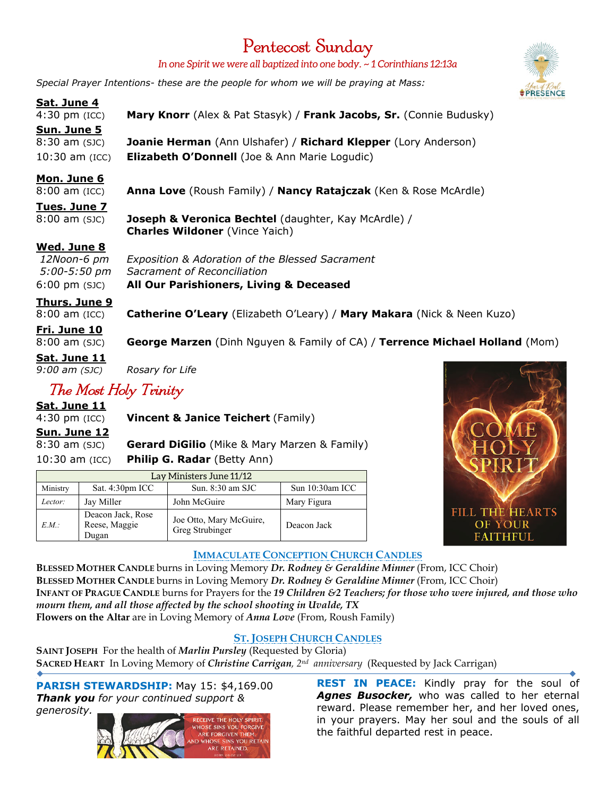# Pentecost Sunday

*In one Spirit we were all baptized into one body. ~ 1 Corinthians 12:13a* 

*Special Prayer Intentions- these are the people for whom we will be praying at Mass:*

## **Sat. June 4**

4:30 pm (ICC) **Mary Knorr** (Alex & Pat Stasyk) / **Frank Jacobs, Sr.** (Connie Budusky) **Sun. June 5** 8:30 am (SJC) **Joanie Herman** (Ann Ulshafer) / **Richard Klepper** (Lory Anderson) 10:30 am (ICC) **Elizabeth O'Donnell** (Joe & Ann Marie Logudic)

## **Mon. June 6**

8:00 am (ICC) **Anna Love** (Roush Family) / **Nancy Ratajczak** (Ken & Rose McArdle)

## **Tues. June 7**

8:00 am (SJC) **Joseph & Veronica Bechtel** (daughter, Kay McArdle) / **Charles Wildoner** (Vince Yaich)

### **Wed. June 8**

 *12Noon-6 pm Exposition & Adoration of the Blessed Sacrament 5:00-5:50 pm Sacrament of Reconciliation*  6:00 pm (SJC) **All Our Parishioners, Living & Deceased**

#### **Thurs. June 9**

8:00 am (ICC) **Catherine O'Leary** (Elizabeth O'Leary) / **Mary Makara** (Nick & Neen Kuzo)

**Fri. June 10** 8:00 am (SJC) **George Marzen** (Dinh Nguyen & Family of CA) / **Terrence Michael Holland** (Mom)

# **Sat. June 11**

*9:00 am (SJC) Rosary for Life* 

## The Most Holy Trinity

**Sat. June 11**

4:30 pm (ICC) **Vincent & Janice Teichert** (Family)

## **Sun. June 12**

8:30 am (SJC) **Gerard DiGilio** (Mike & Mary Marzen & Family) 10:30 am (ICC) **Philip G. Radar** (Betty Ann)

| Lay Ministers June 11/12 |                                             |                                            |                 |
|--------------------------|---------------------------------------------|--------------------------------------------|-----------------|
| Ministry                 | Sat. $4:30pm$ ICC                           | Sun. $8:30$ am SJC                         | Sun 10:30am ICC |
| Lector:                  | Jay Miller                                  | John McGuire                               | Mary Figura     |
| E.M.                     | Deacon Jack, Rose<br>Reese, Maggie<br>Dugan | Joe Otto, Mary McGuire,<br>Greg Strubinger | Deacon Jack     |



## **IMMACULATE CONCEPTION CHURCH CANDLES**

**BLESSED MOTHER CANDLE** burns in Loving Memory *Dr. Rodney & Geraldine Minner* (From, ICC Choir) **BLESSED MOTHER CANDLE** burns in Loving Memory *Dr. Rodney & Geraldine Minner* (From, ICC Choir) **INFANT OF PRAGUE CANDLE** burns for Prayers for the *19 Children &2 Teachers; for those who were injured, and those who mourn them, and all those affected by the school shooting in Uvalde, TX* **Flowers on the Altar** are in Loving Memory of *Anna Love* (From, Roush Family)

## **ST. JOSEPH CHURCH CANDLES**

**SAINT JOSEPH** For the health of *Marlin Pursley* (Requested by Gloria) **SACRED HEART** In Loving Memory of *Christine Carrigan, 2nd anniversary* (Requested by Jack Carrigan)

**PARISH STEWARDSHIP:** May 15: \$4,169.00 *Thank you for your continued support & generosity.* 



**REST IN PEACE:** Kindly pray for the soul of Agnes Busocker, who was called to her eternal reward. Please remember her, and her loved ones, in your prayers. May her soul and the souls of all the faithful departed rest in peace.